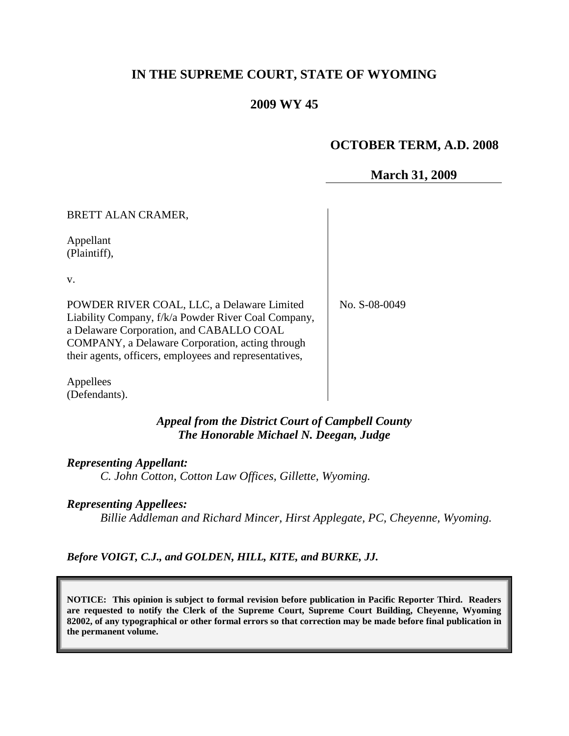# **IN THE SUPREME COURT, STATE OF WYOMING**

### **2009 WY 45**

#### **OCTOBER TERM, A.D. 2008**

### **March 31, 2009**

BRETT ALAN CRAMER,

Appellant (Plaintiff),

v.

POWDER RIVER COAL, LLC, a Delaware Limited Liability Company, f/k/a Powder River Coal Company, a Delaware Corporation, and CABALLO COAL COMPANY, a Delaware Corporation, acting through their agents, officers, employees and representatives,

No. S-08-0049

Appellees (Defendants).

#### *Appeal from the District Court of Campbell County The Honorable Michael N. Deegan, Judge*

#### *Representing Appellant:*

*C. John Cotton, Cotton Law Offices, Gillette, Wyoming.*

#### *Representing Appellees:*

*Billie Addleman and Richard Mincer, Hirst Applegate, PC, Cheyenne, Wyoming.*

*Before VOIGT, C.J., and GOLDEN, HILL, KITE, and BURKE, JJ.*

**NOTICE: This opinion is subject to formal revision before publication in Pacific Reporter Third. Readers are requested to notify the Clerk of the Supreme Court, Supreme Court Building, Cheyenne, Wyoming 82002, of any typographical or other formal errors so that correction may be made before final publication in the permanent volume.**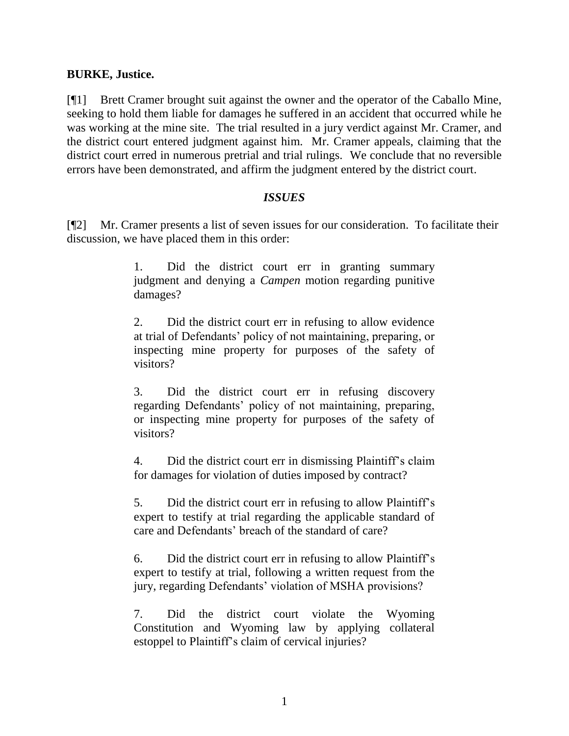### **BURKE, Justice.**

[¶1] Brett Cramer brought suit against the owner and the operator of the Caballo Mine, seeking to hold them liable for damages he suffered in an accident that occurred while he was working at the mine site. The trial resulted in a jury verdict against Mr. Cramer, and the district court entered judgment against him. Mr. Cramer appeals, claiming that the district court erred in numerous pretrial and trial rulings. We conclude that no reversible errors have been demonstrated, and affirm the judgment entered by the district court.

### *ISSUES*

[¶2] Mr. Cramer presents a list of seven issues for our consideration. To facilitate their discussion, we have placed them in this order:

> 1. Did the district court err in granting summary judgment and denying a *Campen* motion regarding punitive damages?

> 2. Did the district court err in refusing to allow evidence at trial of Defendants" policy of not maintaining, preparing, or inspecting mine property for purposes of the safety of visitors?

> 3. Did the district court err in refusing discovery regarding Defendants' policy of not maintaining, preparing, or inspecting mine property for purposes of the safety of visitors?

> 4. Did the district court err in dismissing Plaintiff"s claim for damages for violation of duties imposed by contract?

> 5. Did the district court err in refusing to allow Plaintiff"s expert to testify at trial regarding the applicable standard of care and Defendants" breach of the standard of care?

> 6. Did the district court err in refusing to allow Plaintiff"s expert to testify at trial, following a written request from the jury, regarding Defendants' violation of MSHA provisions?

> 7. Did the district court violate the Wyoming Constitution and Wyoming law by applying collateral estoppel to Plaintiff"s claim of cervical injuries?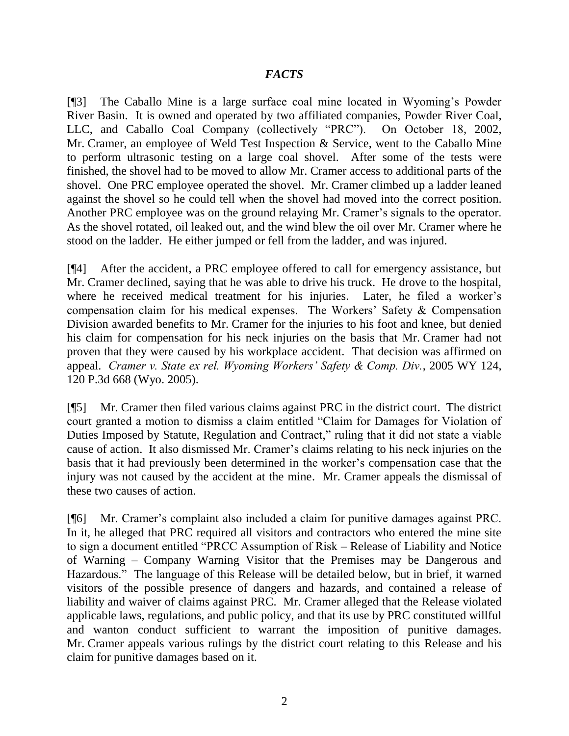## *FACTS*

[¶3] The Caballo Mine is a large surface coal mine located in Wyoming"s Powder River Basin. It is owned and operated by two affiliated companies, Powder River Coal, LLC, and Caballo Coal Company (collectively "PRC"). On October 18, 2002, Mr. Cramer, an employee of Weld Test Inspection & Service, went to the Caballo Mine to perform ultrasonic testing on a large coal shovel. After some of the tests were finished, the shovel had to be moved to allow Mr. Cramer access to additional parts of the shovel. One PRC employee operated the shovel. Mr. Cramer climbed up a ladder leaned against the shovel so he could tell when the shovel had moved into the correct position. Another PRC employee was on the ground relaying Mr. Cramer's signals to the operator. As the shovel rotated, oil leaked out, and the wind blew the oil over Mr. Cramer where he stood on the ladder. He either jumped or fell from the ladder, and was injured.

[¶4] After the accident, a PRC employee offered to call for emergency assistance, but Mr. Cramer declined, saying that he was able to drive his truck. He drove to the hospital, where he received medical treatment for his injuries. Later, he filed a worker's compensation claim for his medical expenses. The Workers" Safety & Compensation Division awarded benefits to Mr. Cramer for the injuries to his foot and knee, but denied his claim for compensation for his neck injuries on the basis that Mr. Cramer had not proven that they were caused by his workplace accident. That decision was affirmed on appeal. *Cramer v. State ex rel. Wyoming Workers' Safety & Comp. Div.*, 2005 WY 124, 120 P.3d 668 (Wyo. 2005).

[¶5] Mr. Cramer then filed various claims against PRC in the district court. The district court granted a motion to dismiss a claim entitled "Claim for Damages for Violation of Duties Imposed by Statute, Regulation and Contract," ruling that it did not state a viable cause of action. It also dismissed Mr. Cramer"s claims relating to his neck injuries on the basis that it had previously been determined in the worker"s compensation case that the injury was not caused by the accident at the mine. Mr. Cramer appeals the dismissal of these two causes of action.

[¶6] Mr. Cramer"s complaint also included a claim for punitive damages against PRC. In it, he alleged that PRC required all visitors and contractors who entered the mine site to sign a document entitled "PRCC Assumption of Risk – Release of Liability and Notice of Warning – Company Warning Visitor that the Premises may be Dangerous and Hazardous." The language of this Release will be detailed below, but in brief, it warned visitors of the possible presence of dangers and hazards, and contained a release of liability and waiver of claims against PRC. Mr. Cramer alleged that the Release violated applicable laws, regulations, and public policy, and that its use by PRC constituted willful and wanton conduct sufficient to warrant the imposition of punitive damages. Mr. Cramer appeals various rulings by the district court relating to this Release and his claim for punitive damages based on it.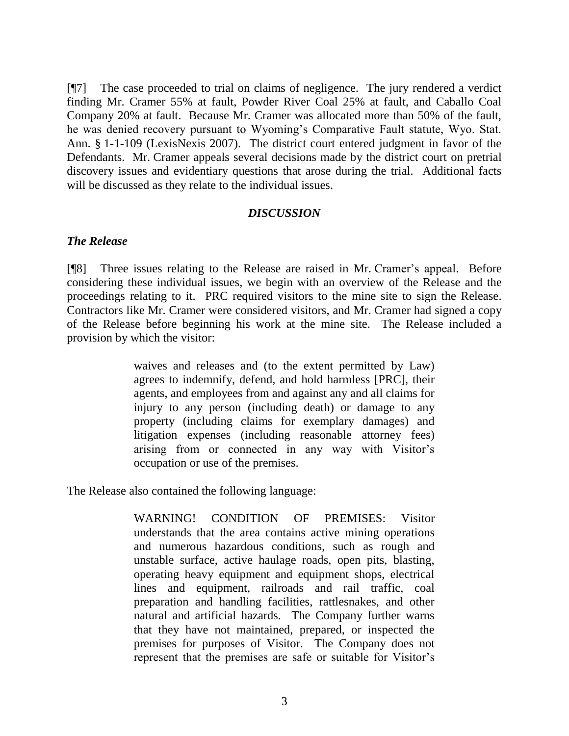[¶7] The case proceeded to trial on claims of negligence. The jury rendered a verdict finding Mr. Cramer 55% at fault, Powder River Coal 25% at fault, and Caballo Coal Company 20% at fault. Because Mr. Cramer was allocated more than 50% of the fault, he was denied recovery pursuant to Wyoming"s Comparative Fault statute, Wyo. Stat. Ann. § 1-1-109 (LexisNexis 2007). The district court entered judgment in favor of the Defendants. Mr. Cramer appeals several decisions made by the district court on pretrial discovery issues and evidentiary questions that arose during the trial. Additional facts will be discussed as they relate to the individual issues.

#### *DISCUSSION*

#### *The Release*

[¶8] Three issues relating to the Release are raised in Mr. Cramer"s appeal. Before considering these individual issues, we begin with an overview of the Release and the proceedings relating to it. PRC required visitors to the mine site to sign the Release. Contractors like Mr. Cramer were considered visitors, and Mr. Cramer had signed a copy of the Release before beginning his work at the mine site. The Release included a provision by which the visitor:

> waives and releases and (to the extent permitted by Law) agrees to indemnify, defend, and hold harmless [PRC], their agents, and employees from and against any and all claims for injury to any person (including death) or damage to any property (including claims for exemplary damages) and litigation expenses (including reasonable attorney fees) arising from or connected in any way with Visitor's occupation or use of the premises.

The Release also contained the following language:

WARNING! CONDITION OF PREMISES: Visitor understands that the area contains active mining operations and numerous hazardous conditions, such as rough and unstable surface, active haulage roads, open pits, blasting, operating heavy equipment and equipment shops, electrical lines and equipment, railroads and rail traffic, coal preparation and handling facilities, rattlesnakes, and other natural and artificial hazards. The Company further warns that they have not maintained, prepared, or inspected the premises for purposes of Visitor. The Company does not represent that the premises are safe or suitable for Visitor's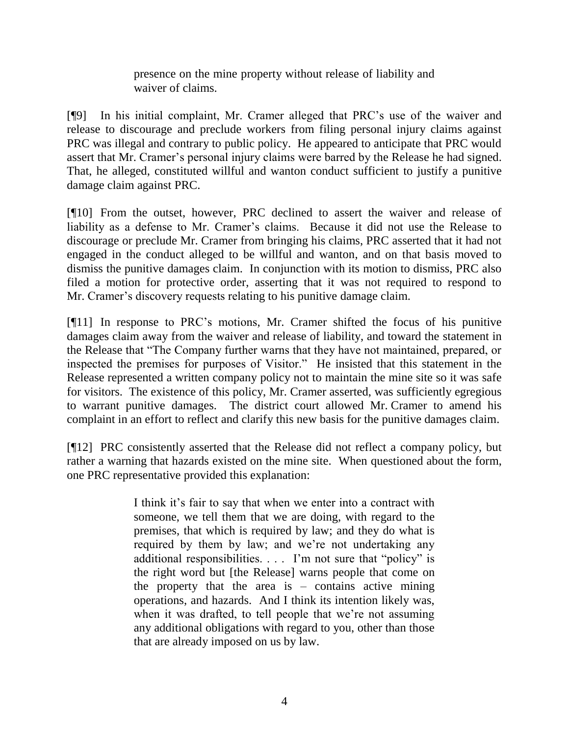presence on the mine property without release of liability and waiver of claims.

[¶9] In his initial complaint, Mr. Cramer alleged that PRC"s use of the waiver and release to discourage and preclude workers from filing personal injury claims against PRC was illegal and contrary to public policy. He appeared to anticipate that PRC would assert that Mr. Cramer's personal injury claims were barred by the Release he had signed. That, he alleged, constituted willful and wanton conduct sufficient to justify a punitive damage claim against PRC.

[¶10] From the outset, however, PRC declined to assert the waiver and release of liability as a defense to Mr. Cramer's claims. Because it did not use the Release to discourage or preclude Mr. Cramer from bringing his claims, PRC asserted that it had not engaged in the conduct alleged to be willful and wanton, and on that basis moved to dismiss the punitive damages claim. In conjunction with its motion to dismiss, PRC also filed a motion for protective order, asserting that it was not required to respond to Mr. Cramer"s discovery requests relating to his punitive damage claim.

[¶11] In response to PRC"s motions, Mr. Cramer shifted the focus of his punitive damages claim away from the waiver and release of liability, and toward the statement in the Release that "The Company further warns that they have not maintained, prepared, or inspected the premises for purposes of Visitor." He insisted that this statement in the Release represented a written company policy not to maintain the mine site so it was safe for visitors. The existence of this policy, Mr. Cramer asserted, was sufficiently egregious to warrant punitive damages. The district court allowed Mr. Cramer to amend his complaint in an effort to reflect and clarify this new basis for the punitive damages claim.

[¶12] PRC consistently asserted that the Release did not reflect a company policy, but rather a warning that hazards existed on the mine site. When questioned about the form, one PRC representative provided this explanation:

> I think it's fair to say that when we enter into a contract with someone, we tell them that we are doing, with regard to the premises, that which is required by law; and they do what is required by them by law; and we"re not undertaking any additional responsibilities. . . . I"m not sure that "policy" is the right word but [the Release] warns people that come on the property that the area is  $-$  contains active mining operations, and hazards. And I think its intention likely was, when it was drafted, to tell people that we're not assuming any additional obligations with regard to you, other than those that are already imposed on us by law.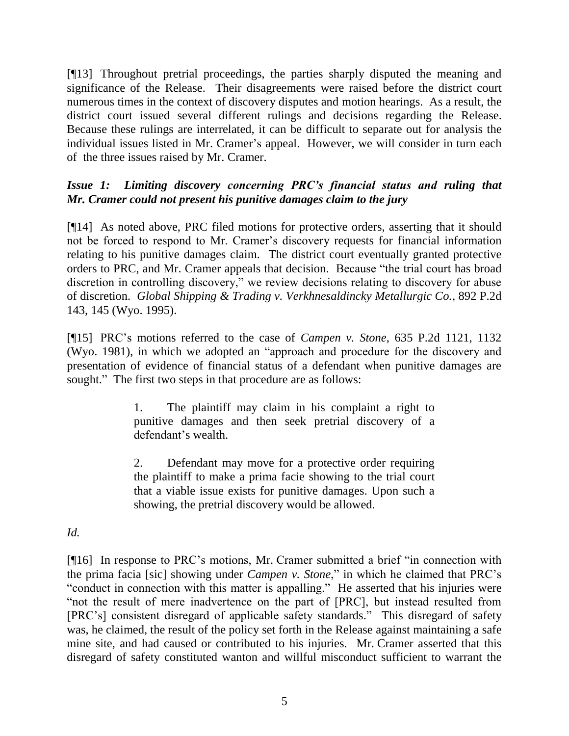[¶13] Throughout pretrial proceedings, the parties sharply disputed the meaning and significance of the Release. Their disagreements were raised before the district court numerous times in the context of discovery disputes and motion hearings. As a result, the district court issued several different rulings and decisions regarding the Release. Because these rulings are interrelated, it can be difficult to separate out for analysis the individual issues listed in Mr. Cramer's appeal. However, we will consider in turn each of the three issues raised by Mr. Cramer.

# *Issue 1: Limiting discovery concerning PRC's financial status and ruling that Mr. Cramer could not present his punitive damages claim to the jury*

[¶14] As noted above, PRC filed motions for protective orders, asserting that it should not be forced to respond to Mr. Cramer"s discovery requests for financial information relating to his punitive damages claim. The district court eventually granted protective orders to PRC, and Mr. Cramer appeals that decision. Because "the trial court has broad discretion in controlling discovery," we review decisions relating to discovery for abuse of discretion. *Global Shipping & Trading v. Verkhnesaldincky Metallurgic Co.*, 892 P.2d 143, 145 (Wyo. 1995).

[¶15] PRC"s motions referred to the case of *Campen v. Stone*, 635 P.2d 1121, 1132 (Wyo. 1981), in which we adopted an "approach and procedure for the discovery and presentation of evidence of financial status of a defendant when punitive damages are sought." The first two steps in that procedure are as follows:

> 1. The plaintiff may claim in his complaint a right to punitive damages and then seek pretrial discovery of a defendant's wealth.

> 2. Defendant may move for a protective order requiring the plaintiff to make a prima facie showing to the trial court that a viable issue exists for punitive damages. Upon such a showing, the pretrial discovery would be allowed.

## *Id.*

[¶16] In response to PRC"s motions, Mr. Cramer submitted a brief "in connection with the prima facia [sic] showing under *Campen v. Stone*," in which he claimed that PRC"s "conduct in connection with this matter is appalling." He asserted that his injuries were "not the result of mere inadvertence on the part of [PRC], but instead resulted from [PRC"s] consistent disregard of applicable safety standards." This disregard of safety was, he claimed, the result of the policy set forth in the Release against maintaining a safe mine site, and had caused or contributed to his injuries. Mr. Cramer asserted that this disregard of safety constituted wanton and willful misconduct sufficient to warrant the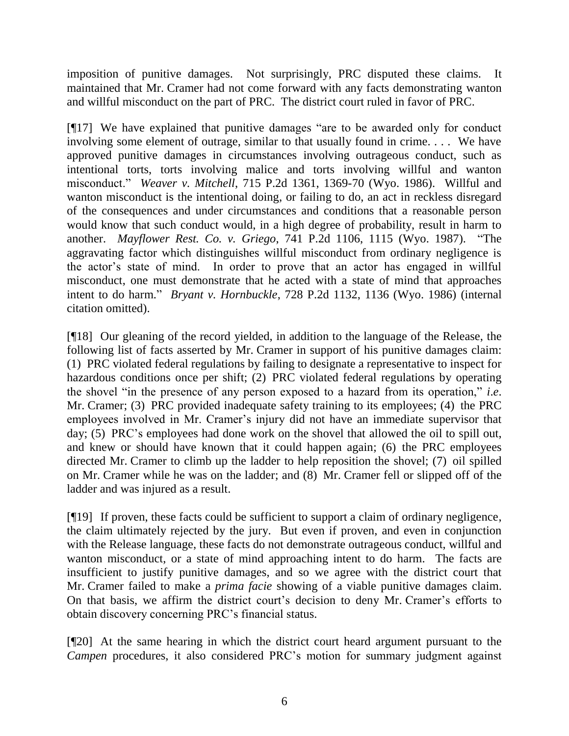imposition of punitive damages. Not surprisingly, PRC disputed these claims. It maintained that Mr. Cramer had not come forward with any facts demonstrating wanton and willful misconduct on the part of PRC. The district court ruled in favor of PRC.

[¶17] We have explained that punitive damages "are to be awarded only for conduct involving some element of outrage, similar to that usually found in crime. . . . We have approved punitive damages in circumstances involving outrageous conduct, such as intentional torts, torts involving malice and torts involving willful and wanton misconduct." *Weaver v. Mitchell*, 715 P.2d 1361, 1369-70 (Wyo. 1986). Willful and wanton misconduct is the intentional doing, or failing to do, an act in reckless disregard of the consequences and under circumstances and conditions that a reasonable person would know that such conduct would, in a high degree of probability, result in harm to another. *Mayflower Rest. Co. v. Griego*, 741 P.2d 1106, 1115 (Wyo. 1987). "The aggravating factor which distinguishes willful misconduct from ordinary negligence is the actor"s state of mind. In order to prove that an actor has engaged in willful misconduct, one must demonstrate that he acted with a state of mind that approaches intent to do harm." *Bryant v. Hornbuckle*, 728 P.2d 1132, 1136 (Wyo. 1986) (internal citation omitted).

[¶18] Our gleaning of the record yielded, in addition to the language of the Release, the following list of facts asserted by Mr. Cramer in support of his punitive damages claim: (1) PRC violated federal regulations by failing to designate a representative to inspect for hazardous conditions once per shift; (2) PRC violated federal regulations by operating the shovel "in the presence of any person exposed to a hazard from its operation," *i*.*e*. Mr. Cramer; (3) PRC provided inadequate safety training to its employees; (4) the PRC employees involved in Mr. Cramer's injury did not have an immediate supervisor that day; (5) PRC"s employees had done work on the shovel that allowed the oil to spill out, and knew or should have known that it could happen again; (6) the PRC employees directed Mr. Cramer to climb up the ladder to help reposition the shovel; (7) oil spilled on Mr. Cramer while he was on the ladder; and (8) Mr. Cramer fell or slipped off of the ladder and was injured as a result.

[¶19] If proven, these facts could be sufficient to support a claim of ordinary negligence, the claim ultimately rejected by the jury. But even if proven, and even in conjunction with the Release language, these facts do not demonstrate outrageous conduct, willful and wanton misconduct, or a state of mind approaching intent to do harm. The facts are insufficient to justify punitive damages, and so we agree with the district court that Mr. Cramer failed to make a *prima facie* showing of a viable punitive damages claim. On that basis, we affirm the district court's decision to deny Mr. Cramer's efforts to obtain discovery concerning PRC"s financial status.

[¶20] At the same hearing in which the district court heard argument pursuant to the *Campen* procedures, it also considered PRC"s motion for summary judgment against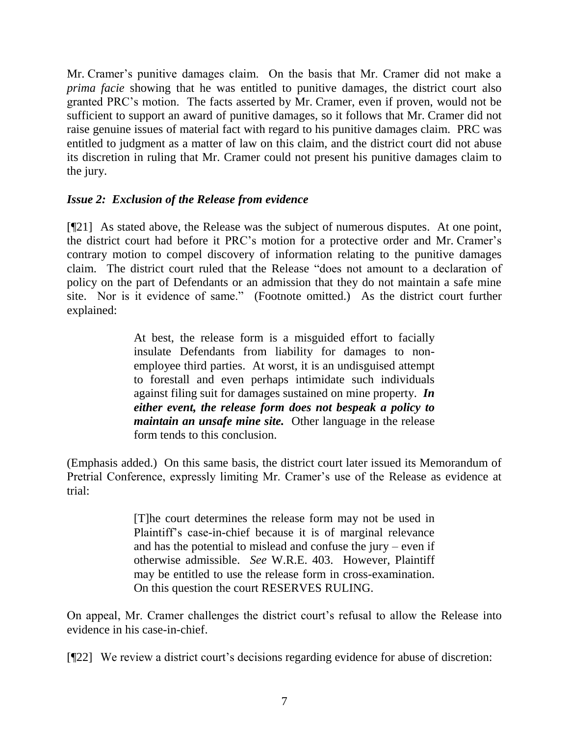Mr. Cramer"s punitive damages claim. On the basis that Mr. Cramer did not make a *prima facie* showing that he was entitled to punitive damages, the district court also granted PRC"s motion. The facts asserted by Mr. Cramer, even if proven, would not be sufficient to support an award of punitive damages, so it follows that Mr. Cramer did not raise genuine issues of material fact with regard to his punitive damages claim. PRC was entitled to judgment as a matter of law on this claim, and the district court did not abuse its discretion in ruling that Mr. Cramer could not present his punitive damages claim to the jury.

# *Issue 2: Exclusion of the Release from evidence*

[¶21] As stated above, the Release was the subject of numerous disputes. At one point, the district court had before it PRC"s motion for a protective order and Mr. Cramer"s contrary motion to compel discovery of information relating to the punitive damages claim. The district court ruled that the Release "does not amount to a declaration of policy on the part of Defendants or an admission that they do not maintain a safe mine site. Nor is it evidence of same." (Footnote omitted.) As the district court further explained:

> At best, the release form is a misguided effort to facially insulate Defendants from liability for damages to nonemployee third parties. At worst, it is an undisguised attempt to forestall and even perhaps intimidate such individuals against filing suit for damages sustained on mine property. *In either event, the release form does not bespeak a policy to maintain an unsafe mine site.* Other language in the release form tends to this conclusion.

(Emphasis added.) On this same basis, the district court later issued its Memorandum of Pretrial Conference, expressly limiting Mr. Cramer's use of the Release as evidence at trial:

> [T]he court determines the release form may not be used in Plaintiff"s case-in-chief because it is of marginal relevance and has the potential to mislead and confuse the jury – even if otherwise admissible. *See* W.R.E. 403. However, Plaintiff may be entitled to use the release form in cross-examination. On this question the court RESERVES RULING.

On appeal, Mr. Cramer challenges the district court's refusal to allow the Release into evidence in his case-in-chief.

[¶22] We review a district court"s decisions regarding evidence for abuse of discretion: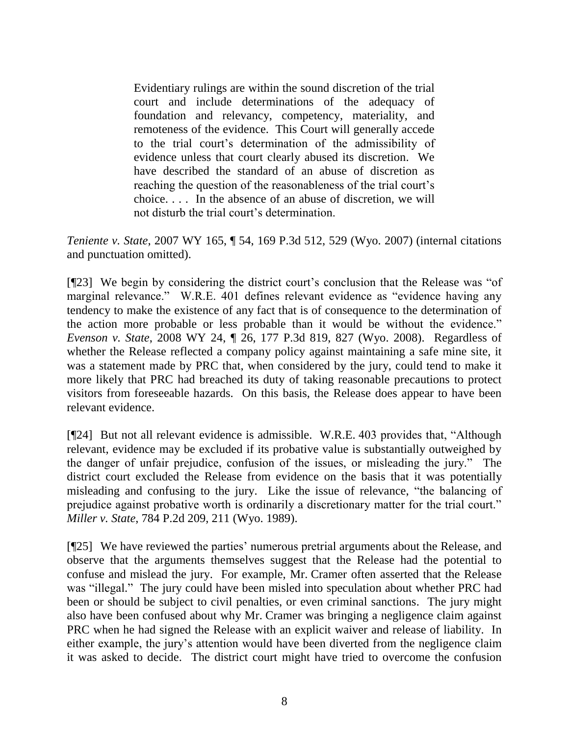Evidentiary rulings are within the sound discretion of the trial court and include determinations of the adequacy of foundation and relevancy, competency, materiality, and remoteness of the evidence. This Court will generally accede to the trial court"s determination of the admissibility of evidence unless that court clearly abused its discretion. We have described the standard of an abuse of discretion as reaching the question of the reasonableness of the trial court's choice. . . . In the absence of an abuse of discretion, we will not disturb the trial court's determination.

*Teniente v. State*, 2007 WY 165, ¶ 54, 169 P.3d 512, 529 (Wyo. 2007) (internal citations and punctuation omitted).

[¶23] We begin by considering the district court's conclusion that the Release was "of" marginal relevance." W.R.E. 401 defines relevant evidence as "evidence having any tendency to make the existence of any fact that is of consequence to the determination of the action more probable or less probable than it would be without the evidence." *Evenson v. State*, 2008 WY 24, ¶ 26, 177 P.3d 819, 827 (Wyo. 2008). Regardless of whether the Release reflected a company policy against maintaining a safe mine site, it was a statement made by PRC that, when considered by the jury, could tend to make it more likely that PRC had breached its duty of taking reasonable precautions to protect visitors from foreseeable hazards. On this basis, the Release does appear to have been relevant evidence.

[¶24] But not all relevant evidence is admissible. W.R.E. 403 provides that, "Although relevant, evidence may be excluded if its probative value is substantially outweighed by the danger of unfair prejudice, confusion of the issues, or misleading the jury." The district court excluded the Release from evidence on the basis that it was potentially misleading and confusing to the jury. Like the issue of relevance, "the balancing of prejudice against probative worth is ordinarily a discretionary matter for the trial court." *Miller v. State*, 784 P.2d 209, 211 (Wyo. 1989).

[¶25] We have reviewed the parties" numerous pretrial arguments about the Release, and observe that the arguments themselves suggest that the Release had the potential to confuse and mislead the jury. For example, Mr. Cramer often asserted that the Release was "illegal." The jury could have been misled into speculation about whether PRC had been or should be subject to civil penalties, or even criminal sanctions. The jury might also have been confused about why Mr. Cramer was bringing a negligence claim against PRC when he had signed the Release with an explicit waiver and release of liability. In either example, the jury's attention would have been diverted from the negligence claim it was asked to decide. The district court might have tried to overcome the confusion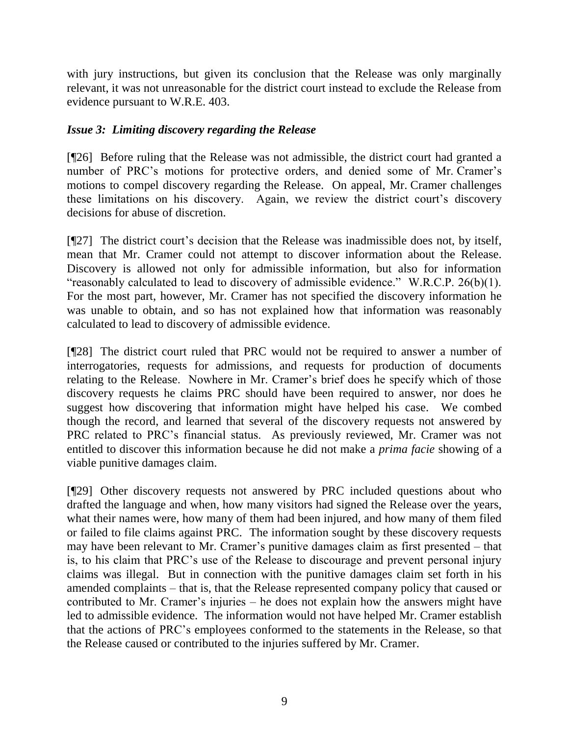with jury instructions, but given its conclusion that the Release was only marginally relevant, it was not unreasonable for the district court instead to exclude the Release from evidence pursuant to W.R.E. 403.

### *Issue 3: Limiting discovery regarding the Release*

[¶26] Before ruling that the Release was not admissible, the district court had granted a number of PRC's motions for protective orders, and denied some of Mr. Cramer's motions to compel discovery regarding the Release. On appeal, Mr. Cramer challenges these limitations on his discovery. Again, we review the district court's discovery decisions for abuse of discretion.

 $[$ [[27] The district court's decision that the Release was inadmissible does not, by itself, mean that Mr. Cramer could not attempt to discover information about the Release. Discovery is allowed not only for admissible information, but also for information "reasonably calculated to lead to discovery of admissible evidence." W.R.C.P. 26(b)(1). For the most part, however, Mr. Cramer has not specified the discovery information he was unable to obtain, and so has not explained how that information was reasonably calculated to lead to discovery of admissible evidence.

[¶28] The district court ruled that PRC would not be required to answer a number of interrogatories, requests for admissions, and requests for production of documents relating to the Release. Nowhere in Mr. Cramer"s brief does he specify which of those discovery requests he claims PRC should have been required to answer, nor does he suggest how discovering that information might have helped his case. We combed though the record, and learned that several of the discovery requests not answered by PRC related to PRC"s financial status. As previously reviewed, Mr. Cramer was not entitled to discover this information because he did not make a *prima facie* showing of a viable punitive damages claim.

[¶29] Other discovery requests not answered by PRC included questions about who drafted the language and when, how many visitors had signed the Release over the years, what their names were, how many of them had been injured, and how many of them filed or failed to file claims against PRC. The information sought by these discovery requests may have been relevant to Mr. Cramer's punitive damages claim as first presented – that is, to his claim that PRC"s use of the Release to discourage and prevent personal injury claims was illegal. But in connection with the punitive damages claim set forth in his amended complaints – that is, that the Release represented company policy that caused or contributed to Mr. Cramer"s injuries – he does not explain how the answers might have led to admissible evidence. The information would not have helped Mr. Cramer establish that the actions of PRC"s employees conformed to the statements in the Release, so that the Release caused or contributed to the injuries suffered by Mr. Cramer.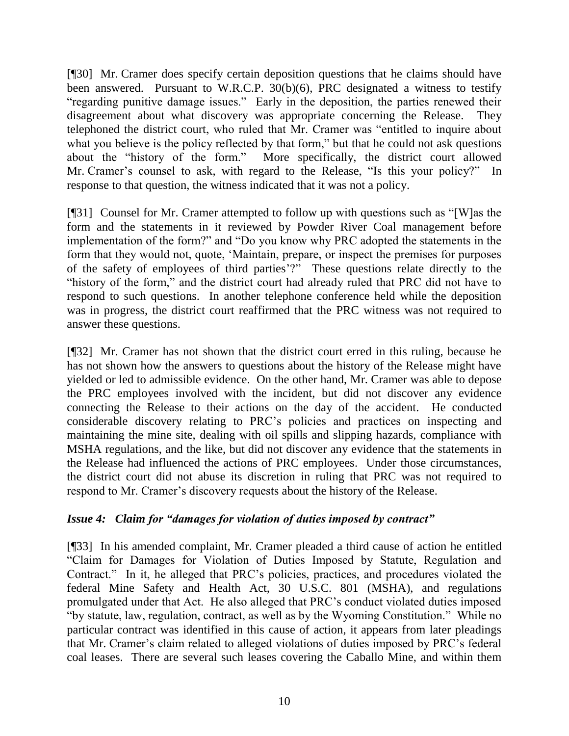[¶30] Mr. Cramer does specify certain deposition questions that he claims should have been answered. Pursuant to W.R.C.P. 30(b)(6), PRC designated a witness to testify "regarding punitive damage issues." Early in the deposition, the parties renewed their disagreement about what discovery was appropriate concerning the Release. They telephoned the district court, who ruled that Mr. Cramer was "entitled to inquire about what you believe is the policy reflected by that form," but that he could not ask questions about the "history of the form." More specifically, the district court allowed Mr. Cramer's counsel to ask, with regard to the Release, "Is this your policy?" In response to that question, the witness indicated that it was not a policy.

[¶31] Counsel for Mr. Cramer attempted to follow up with questions such as "[W]as the form and the statements in it reviewed by Powder River Coal management before implementation of the form?" and "Do you know why PRC adopted the statements in the form that they would not, quote, "Maintain, prepare, or inspect the premises for purposes of the safety of employees of third parties"?" These questions relate directly to the "history of the form," and the district court had already ruled that PRC did not have to respond to such questions. In another telephone conference held while the deposition was in progress, the district court reaffirmed that the PRC witness was not required to answer these questions.

[¶32] Mr. Cramer has not shown that the district court erred in this ruling, because he has not shown how the answers to questions about the history of the Release might have yielded or led to admissible evidence. On the other hand, Mr. Cramer was able to depose the PRC employees involved with the incident, but did not discover any evidence connecting the Release to their actions on the day of the accident. He conducted considerable discovery relating to PRC"s policies and practices on inspecting and maintaining the mine site, dealing with oil spills and slipping hazards, compliance with MSHA regulations, and the like, but did not discover any evidence that the statements in the Release had influenced the actions of PRC employees. Under those circumstances, the district court did not abuse its discretion in ruling that PRC was not required to respond to Mr. Cramer's discovery requests about the history of the Release.

## *Issue 4: Claim for "damages for violation of duties imposed by contract"*

[¶33] In his amended complaint, Mr. Cramer pleaded a third cause of action he entitled "Claim for Damages for Violation of Duties Imposed by Statute, Regulation and Contract." In it, he alleged that PRC"s policies, practices, and procedures violated the federal Mine Safety and Health Act, 30 U.S.C. 801 (MSHA), and regulations promulgated under that Act. He also alleged that PRC"s conduct violated duties imposed "by statute, law, regulation, contract, as well as by the Wyoming Constitution." While no particular contract was identified in this cause of action, it appears from later pleadings that Mr. Cramer"s claim related to alleged violations of duties imposed by PRC"s federal coal leases. There are several such leases covering the Caballo Mine, and within them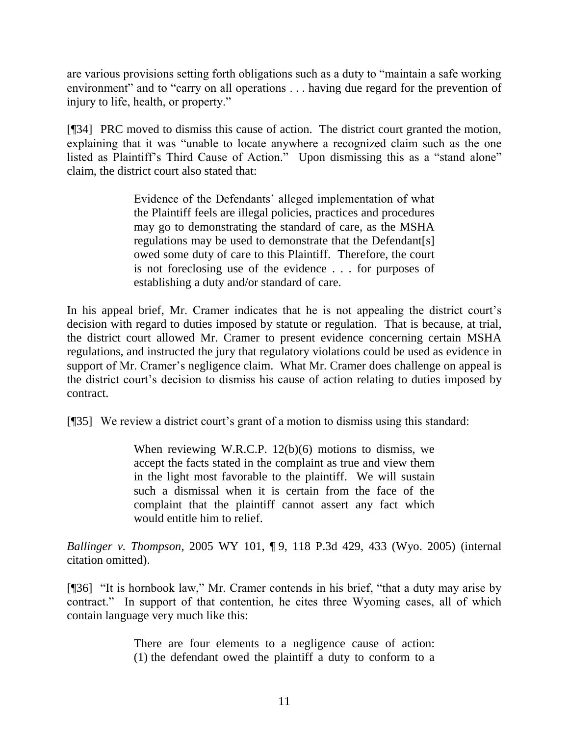are various provisions setting forth obligations such as a duty to "maintain a safe working environment" and to "carry on all operations . . . having due regard for the prevention of injury to life, health, or property."

[¶34] PRC moved to dismiss this cause of action. The district court granted the motion, explaining that it was "unable to locate anywhere a recognized claim such as the one listed as Plaintiff's Third Cause of Action." Upon dismissing this as a "stand alone" claim, the district court also stated that:

> Evidence of the Defendants' alleged implementation of what the Plaintiff feels are illegal policies, practices and procedures may go to demonstrating the standard of care, as the MSHA regulations may be used to demonstrate that the Defendant[s] owed some duty of care to this Plaintiff. Therefore, the court is not foreclosing use of the evidence . . . for purposes of establishing a duty and/or standard of care.

In his appeal brief, Mr. Cramer indicates that he is not appealing the district court's decision with regard to duties imposed by statute or regulation. That is because, at trial, the district court allowed Mr. Cramer to present evidence concerning certain MSHA regulations, and instructed the jury that regulatory violations could be used as evidence in support of Mr. Cramer's negligence claim. What Mr. Cramer does challenge on appeal is the district court"s decision to dismiss his cause of action relating to duties imposed by contract.

[¶35] We review a district court's grant of a motion to dismiss using this standard:

When reviewing W.R.C.P. 12(b)(6) motions to dismiss, we accept the facts stated in the complaint as true and view them in the light most favorable to the plaintiff. We will sustain such a dismissal when it is certain from the face of the complaint that the plaintiff cannot assert any fact which would entitle him to relief.

*Ballinger v. Thompson*, 2005 WY 101, ¶ 9, 118 P.3d 429, 433 (Wyo. 2005) (internal citation omitted).

[¶36] "It is hornbook law," Mr. Cramer contends in his brief, "that a duty may arise by contract." In support of that contention, he cites three Wyoming cases, all of which contain language very much like this:

> There are four elements to a negligence cause of action: (1) the defendant owed the plaintiff a duty to conform to a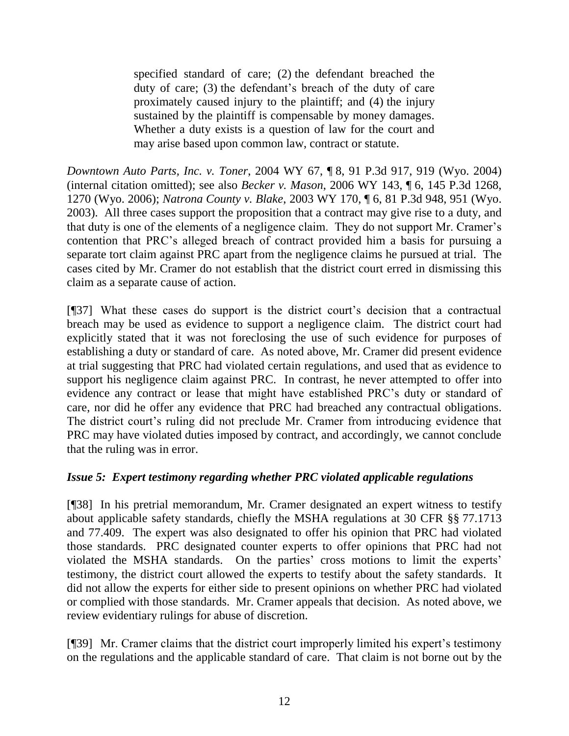specified standard of care; (2) the defendant breached the duty of care; (3) the defendant"s breach of the duty of care proximately caused injury to the plaintiff; and (4) the injury sustained by the plaintiff is compensable by money damages. Whether a duty exists is a question of law for the court and may arise based upon common law, contract or statute.

*Downtown Auto Parts, Inc. v. Toner*, 2004 WY 67, ¶ 8, 91 P.3d 917, 919 (Wyo. 2004) (internal citation omitted); see also *Becker v. Mason*, 2006 WY 143, ¶ 6, 145 P.3d 1268, 1270 (Wyo. 2006); *Natrona County v. Blake*, 2003 WY 170, ¶ 6, 81 P.3d 948, 951 (Wyo. 2003). All three cases support the proposition that a contract may give rise to a duty, and that duty is one of the elements of a negligence claim. They do not support Mr. Cramer"s contention that PRC"s alleged breach of contract provided him a basis for pursuing a separate tort claim against PRC apart from the negligence claims he pursued at trial. The cases cited by Mr. Cramer do not establish that the district court erred in dismissing this claim as a separate cause of action.

[¶37] What these cases do support is the district court"s decision that a contractual breach may be used as evidence to support a negligence claim. The district court had explicitly stated that it was not foreclosing the use of such evidence for purposes of establishing a duty or standard of care. As noted above, Mr. Cramer did present evidence at trial suggesting that PRC had violated certain regulations, and used that as evidence to support his negligence claim against PRC. In contrast, he never attempted to offer into evidence any contract or lease that might have established PRC"s duty or standard of care, nor did he offer any evidence that PRC had breached any contractual obligations. The district court's ruling did not preclude Mr. Cramer from introducing evidence that PRC may have violated duties imposed by contract, and accordingly, we cannot conclude that the ruling was in error.

# *Issue 5: Expert testimony regarding whether PRC violated applicable regulations*

[¶38] In his pretrial memorandum, Mr. Cramer designated an expert witness to testify about applicable safety standards, chiefly the MSHA regulations at 30 CFR §§ 77.1713 and 77.409. The expert was also designated to offer his opinion that PRC had violated those standards. PRC designated counter experts to offer opinions that PRC had not violated the MSHA standards. On the parties' cross motions to limit the experts' testimony, the district court allowed the experts to testify about the safety standards. It did not allow the experts for either side to present opinions on whether PRC had violated or complied with those standards. Mr. Cramer appeals that decision. As noted above, we review evidentiary rulings for abuse of discretion.

[¶39] Mr. Cramer claims that the district court improperly limited his expert's testimony on the regulations and the applicable standard of care. That claim is not borne out by the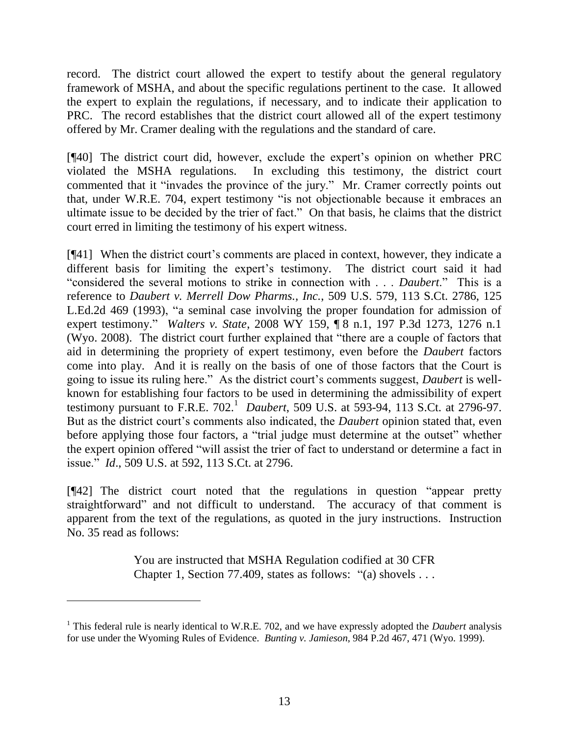record. The district court allowed the expert to testify about the general regulatory framework of MSHA, and about the specific regulations pertinent to the case. It allowed the expert to explain the regulations, if necessary, and to indicate their application to PRC. The record establishes that the district court allowed all of the expert testimony offered by Mr. Cramer dealing with the regulations and the standard of care.

[¶40] The district court did, however, exclude the expert"s opinion on whether PRC violated the MSHA regulations. In excluding this testimony, the district court commented that it "invades the province of the jury." Mr. Cramer correctly points out that, under W.R.E. 704, expert testimony "is not objectionable because it embraces an ultimate issue to be decided by the trier of fact." On that basis, he claims that the district court erred in limiting the testimony of his expert witness.

[¶41] When the district court"s comments are placed in context, however, they indicate a different basis for limiting the expert's testimony. The district court said it had "considered the several motions to strike in connection with . . . *Daubert*." This is a reference to *Daubert v. Merrell Dow Pharms., Inc.*, 509 U.S. 579, 113 S.Ct. 2786, 125 L.Ed.2d 469 (1993), "a seminal case involving the proper foundation for admission of expert testimony." *Walters v. State*, 2008 WY 159, ¶ 8 n.1, 197 P.3d 1273, 1276 n.1 (Wyo. 2008). The district court further explained that "there are a couple of factors that aid in determining the propriety of expert testimony, even before the *Daubert* factors come into play. And it is really on the basis of one of those factors that the Court is going to issue its ruling here." As the district court's comments suggest, *Daubert* is wellknown for establishing four factors to be used in determining the admissibility of expert testimony pursuant to F.R.E. 702.<sup>1</sup> Daubert, 509 U.S. at 593-94, 113 S.Ct. at 2796-97. But as the district court"s comments also indicated, the *Daubert* opinion stated that, even before applying those four factors, a "trial judge must determine at the outset" whether the expert opinion offered "will assist the trier of fact to understand or determine a fact in issue." *Id*., 509 U.S. at 592, 113 S.Ct. at 2796.

[¶42] The district court noted that the regulations in question "appear pretty straightforward" and not difficult to understand. The accuracy of that comment is apparent from the text of the regulations, as quoted in the jury instructions. Instruction No. 35 read as follows:

> You are instructed that MSHA Regulation codified at 30 CFR Chapter 1, Section 77.409, states as follows: "(a) shovels . . .

<sup>&</sup>lt;sup>1</sup> This federal rule is nearly identical to W.R.E. 702, and we have expressly adopted the *Daubert* analysis for use under the Wyoming Rules of Evidence. *Bunting v. Jamieson*, 984 P.2d 467, 471 (Wyo. 1999).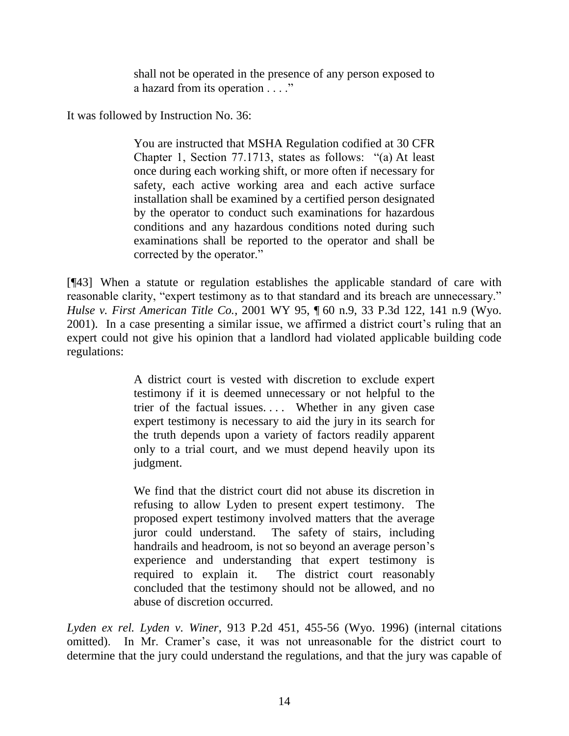shall not be operated in the presence of any person exposed to a hazard from its operation . . . ."

It was followed by Instruction No. 36:

You are instructed that MSHA Regulation codified at 30 CFR Chapter 1, Section 77.1713, states as follows: "(a) At least once during each working shift, or more often if necessary for safety, each active working area and each active surface installation shall be examined by a certified person designated by the operator to conduct such examinations for hazardous conditions and any hazardous conditions noted during such examinations shall be reported to the operator and shall be corrected by the operator."

[¶43] When a statute or regulation establishes the applicable standard of care with reasonable clarity, "expert testimony as to that standard and its breach are unnecessary." *Hulse v. First American Title Co.*, 2001 WY 95, ¶ 60 n.9, 33 P.3d 122, 141 n.9 (Wyo. 2001). In a case presenting a similar issue, we affirmed a district court's ruling that an expert could not give his opinion that a landlord had violated applicable building code regulations:

> A district court is vested with discretion to exclude expert testimony if it is deemed unnecessary or not helpful to the trier of the factual issues.... Whether in any given case expert testimony is necessary to aid the jury in its search for the truth depends upon a variety of factors readily apparent only to a trial court, and we must depend heavily upon its judgment.

> We find that the district court did not abuse its discretion in refusing to allow Lyden to present expert testimony. The proposed expert testimony involved matters that the average juror could understand. The safety of stairs, including handrails and headroom, is not so beyond an average person's experience and understanding that expert testimony is required to explain it. The district court reasonably concluded that the testimony should not be allowed, and no abuse of discretion occurred.

*Lyden ex rel. Lyden v. Winer*, 913 P.2d 451, 455-56 (Wyo. 1996) (internal citations omitted). In Mr. Cramer's case, it was not unreasonable for the district court to determine that the jury could understand the regulations, and that the jury was capable of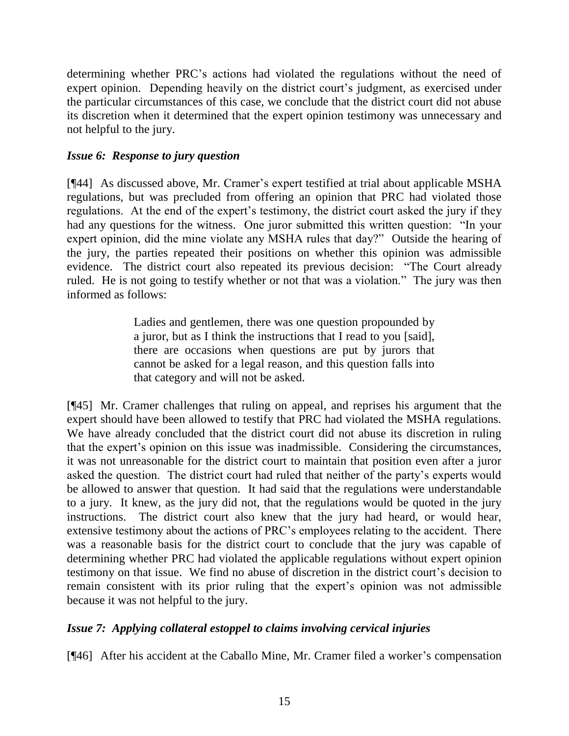determining whether PRC"s actions had violated the regulations without the need of expert opinion. Depending heavily on the district court's judgment, as exercised under the particular circumstances of this case, we conclude that the district court did not abuse its discretion when it determined that the expert opinion testimony was unnecessary and not helpful to the jury.

# *Issue 6: Response to jury question*

[¶44] As discussed above, Mr. Cramer's expert testified at trial about applicable MSHA regulations, but was precluded from offering an opinion that PRC had violated those regulations. At the end of the expert's testimony, the district court asked the jury if they had any questions for the witness. One juror submitted this written question: "In your expert opinion, did the mine violate any MSHA rules that day?" Outside the hearing of the jury, the parties repeated their positions on whether this opinion was admissible evidence. The district court also repeated its previous decision: "The Court already ruled. He is not going to testify whether or not that was a violation." The jury was then informed as follows:

> Ladies and gentlemen, there was one question propounded by a juror, but as I think the instructions that I read to you [said], there are occasions when questions are put by jurors that cannot be asked for a legal reason, and this question falls into that category and will not be asked.

[¶45] Mr. Cramer challenges that ruling on appeal, and reprises his argument that the expert should have been allowed to testify that PRC had violated the MSHA regulations. We have already concluded that the district court did not abuse its discretion in ruling that the expert's opinion on this issue was inadmissible. Considering the circumstances, it was not unreasonable for the district court to maintain that position even after a juror asked the question. The district court had ruled that neither of the party"s experts would be allowed to answer that question. It had said that the regulations were understandable to a jury. It knew, as the jury did not, that the regulations would be quoted in the jury instructions. The district court also knew that the jury had heard, or would hear, extensive testimony about the actions of PRC"s employees relating to the accident. There was a reasonable basis for the district court to conclude that the jury was capable of determining whether PRC had violated the applicable regulations without expert opinion testimony on that issue. We find no abuse of discretion in the district court"s decision to remain consistent with its prior ruling that the expert's opinion was not admissible because it was not helpful to the jury.

# *Issue 7: Applying collateral estoppel to claims involving cervical injuries*

[¶46] After his accident at the Caballo Mine, Mr. Cramer filed a worker's compensation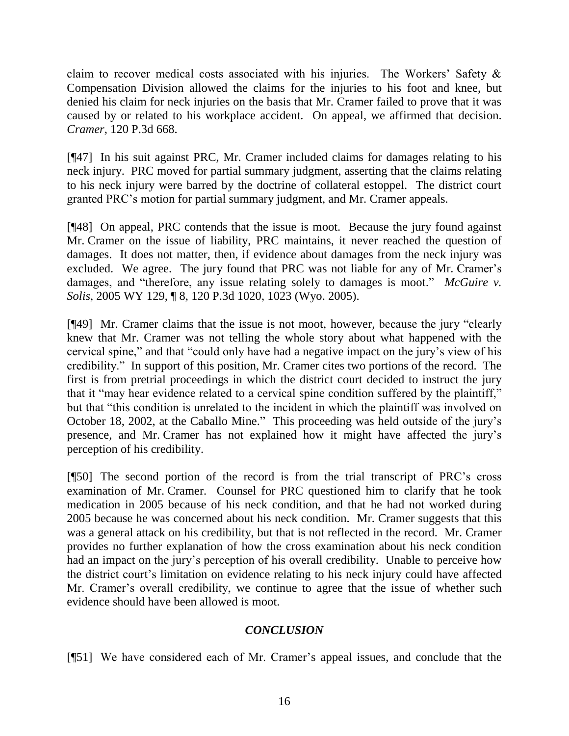claim to recover medical costs associated with his injuries. The Workers' Safety  $\&$ Compensation Division allowed the claims for the injuries to his foot and knee, but denied his claim for neck injuries on the basis that Mr. Cramer failed to prove that it was caused by or related to his workplace accident. On appeal, we affirmed that decision. *Cramer*, 120 P.3d 668.

[¶47] In his suit against PRC, Mr. Cramer included claims for damages relating to his neck injury. PRC moved for partial summary judgment, asserting that the claims relating to his neck injury were barred by the doctrine of collateral estoppel. The district court granted PRC"s motion for partial summary judgment, and Mr. Cramer appeals.

[¶48] On appeal, PRC contends that the issue is moot. Because the jury found against Mr. Cramer on the issue of liability, PRC maintains, it never reached the question of damages. It does not matter, then, if evidence about damages from the neck injury was excluded. We agree. The jury found that PRC was not liable for any of Mr. Cramer's damages, and "therefore, any issue relating solely to damages is moot." *McGuire v. Solis*, 2005 WY 129, ¶ 8, 120 P.3d 1020, 1023 (Wyo. 2005).

[¶49] Mr. Cramer claims that the issue is not moot, however, because the jury "clearly knew that Mr. Cramer was not telling the whole story about what happened with the cervical spine," and that "could only have had a negative impact on the jury"s view of his credibility." In support of this position, Mr. Cramer cites two portions of the record. The first is from pretrial proceedings in which the district court decided to instruct the jury that it "may hear evidence related to a cervical spine condition suffered by the plaintiff," but that "this condition is unrelated to the incident in which the plaintiff was involved on October 18, 2002, at the Caballo Mine." This proceeding was held outside of the jury"s presence, and Mr. Cramer has not explained how it might have affected the jury"s perception of his credibility.

[¶50] The second portion of the record is from the trial transcript of PRC"s cross examination of Mr. Cramer. Counsel for PRC questioned him to clarify that he took medication in 2005 because of his neck condition, and that he had not worked during 2005 because he was concerned about his neck condition. Mr. Cramer suggests that this was a general attack on his credibility, but that is not reflected in the record. Mr. Cramer provides no further explanation of how the cross examination about his neck condition had an impact on the jury"s perception of his overall credibility. Unable to perceive how the district court"s limitation on evidence relating to his neck injury could have affected Mr. Cramer's overall credibility, we continue to agree that the issue of whether such evidence should have been allowed is moot.

## *CONCLUSION*

[¶51] We have considered each of Mr. Cramer"s appeal issues, and conclude that the